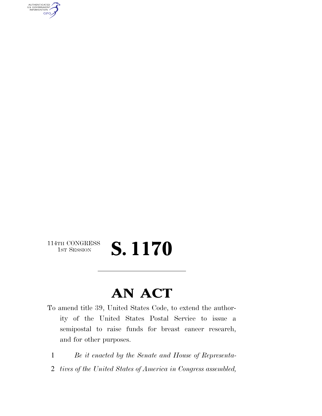AUTHENTICATED<br>U.S. GOVERNMENT<br>INFORMATION **GPO** 

### 114TH CONGRESS<br>1st Session S. 1170

### **AN ACT**

- To amend title 39, United States Code, to extend the authority of the United States Postal Service to issue a semipostal to raise funds for breast cancer research, and for other purposes.
- 1 *Be it enacted by the Senate and House of Representa-*
- 2 *tives of the United States of America in Congress assembled,*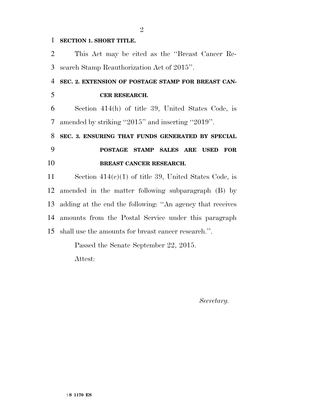#### **SECTION 1. SHORT TITLE.**

| $\overline{2}$ | This Act may be cited as the "Breast Cancer Re-           |
|----------------|-----------------------------------------------------------|
| 3              | search Stamp Reauthorization Act of 2015".                |
| 4              | SEC. 2. EXTENSION OF POSTAGE STAMP FOR BREAST CAN-        |
| 5              | CER RESEARCH.                                             |
| 6              | Section 414(h) of title 39, United States Code, is        |
| 7              | amended by striking "2015" and inserting "2019".          |
| 8              | SEC. 3. ENSURING THAT FUNDS GENERATED BY SPECIAL          |
|                |                                                           |
| 9              | POSTAGE STAMP SALES ARE USED<br>$\bf FOR$                 |
| 10             | BREAST CANCER RESEARCH.                                   |
| 11             | Section $414(c)(1)$ of title 39, United States Code, is   |
|                | 12 amended in the matter following subparagraph (B) by    |
| 13             | adding at the end the following: "An agency that receives |
|                | 14 amounts from the Postal Service under this paragraph   |

Passed the Senate September 22, 2015.

Attest:

*Secretary.*